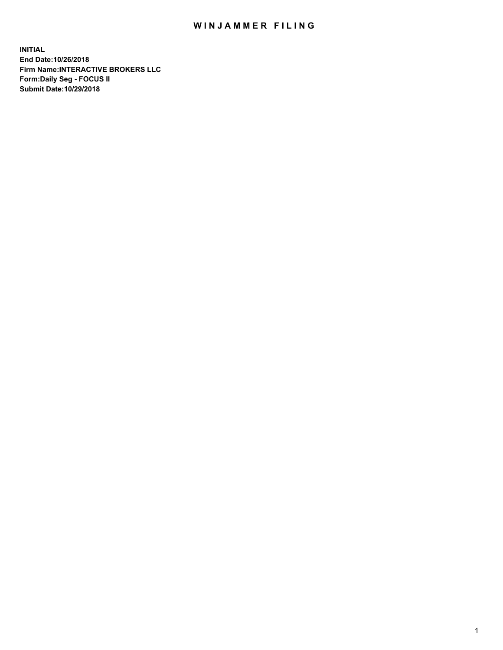## WIN JAMMER FILING

**INITIAL End Date:10/26/2018 Firm Name:INTERACTIVE BROKERS LLC Form:Daily Seg - FOCUS II Submit Date:10/29/2018**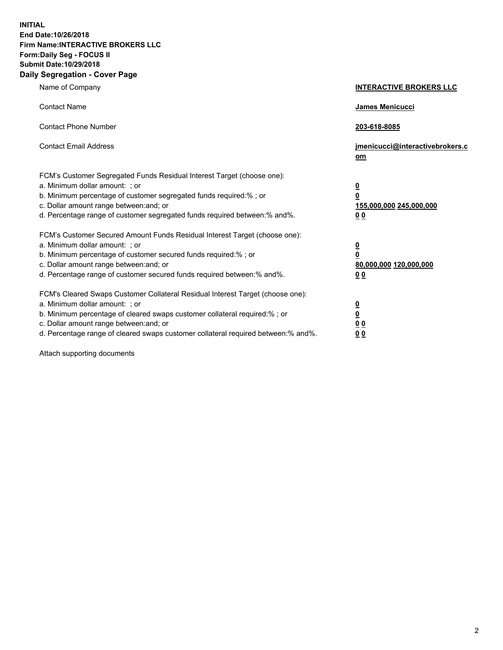**INITIAL End Date:10/26/2018 Firm Name:INTERACTIVE BROKERS LLC Form:Daily Seg - FOCUS II Submit Date:10/29/2018 Daily Segregation - Cover Page**

| Name of Company                                                                                                                                                                                                                                                                                                                | <b>INTERACTIVE BROKERS LLC</b>                                                                  |
|--------------------------------------------------------------------------------------------------------------------------------------------------------------------------------------------------------------------------------------------------------------------------------------------------------------------------------|-------------------------------------------------------------------------------------------------|
| <b>Contact Name</b>                                                                                                                                                                                                                                                                                                            | James Menicucci                                                                                 |
| <b>Contact Phone Number</b>                                                                                                                                                                                                                                                                                                    | 203-618-8085                                                                                    |
| <b>Contact Email Address</b>                                                                                                                                                                                                                                                                                                   | jmenicucci@interactivebrokers.c<br>om                                                           |
| FCM's Customer Segregated Funds Residual Interest Target (choose one):<br>a. Minimum dollar amount: ; or<br>b. Minimum percentage of customer segregated funds required:%; or<br>c. Dollar amount range between: and; or<br>d. Percentage range of customer segregated funds required between:% and%.                          | $\overline{\mathbf{0}}$<br>$\overline{\mathbf{0}}$<br>155,000,000 245,000,000<br>0 <sub>0</sub> |
| FCM's Customer Secured Amount Funds Residual Interest Target (choose one):<br>a. Minimum dollar amount: ; or<br>b. Minimum percentage of customer secured funds required:% ; or<br>c. Dollar amount range between: and; or<br>d. Percentage range of customer secured funds required between:% and%.                           | $\overline{\mathbf{0}}$<br>$\overline{\mathbf{0}}$<br>80,000,000 120,000,000<br>0 <sub>0</sub>  |
| FCM's Cleared Swaps Customer Collateral Residual Interest Target (choose one):<br>a. Minimum dollar amount: ; or<br>b. Minimum percentage of cleared swaps customer collateral required:% ; or<br>c. Dollar amount range between: and; or<br>d. Percentage range of cleared swaps customer collateral required between:% and%. | $\overline{\mathbf{0}}$<br>$\underline{\mathbf{0}}$<br>0 <sub>0</sub><br>0 <sub>0</sub>         |

Attach supporting documents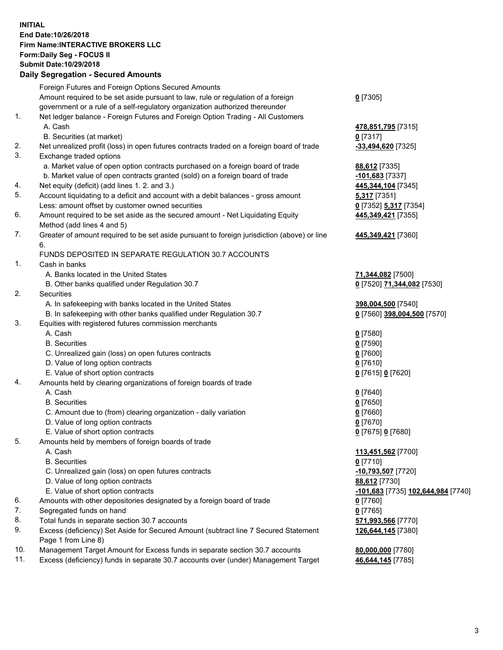## **INITIAL End Date:10/26/2018 Firm Name:INTERACTIVE BROKERS LLC Form:Daily Seg - FOCUS II Submit Date:10/29/2018 Daily Segregation - Secured Amounts**

|     | Daily Segregation - Secured Amounts                                                         |                                    |
|-----|---------------------------------------------------------------------------------------------|------------------------------------|
|     | Foreign Futures and Foreign Options Secured Amounts                                         |                                    |
|     | Amount required to be set aside pursuant to law, rule or regulation of a foreign            | $0$ [7305]                         |
|     | government or a rule of a self-regulatory organization authorized thereunder                |                                    |
| 1.  | Net ledger balance - Foreign Futures and Foreign Option Trading - All Customers             |                                    |
|     | A. Cash                                                                                     | 478,851,795 [7315]                 |
|     | B. Securities (at market)                                                                   | $0$ [7317]                         |
| 2.  | Net unrealized profit (loss) in open futures contracts traded on a foreign board of trade   | -33,494,620 [7325]                 |
| 3.  | Exchange traded options                                                                     |                                    |
|     | a. Market value of open option contracts purchased on a foreign board of trade              | 88,612 [7335]                      |
|     | b. Market value of open contracts granted (sold) on a foreign board of trade                | 101,683 [7337]                     |
| 4.  | Net equity (deficit) (add lines 1. 2. and 3.)                                               | 445, 344, 104 [7345]               |
| 5.  | Account liquidating to a deficit and account with a debit balances - gross amount           | 5,317 [7351]                       |
|     | Less: amount offset by customer owned securities                                            | 0 [7352] 5,317 [7354]              |
| 6.  | Amount required to be set aside as the secured amount - Net Liquidating Equity              | 445,349,421 [7355]                 |
|     | Method (add lines 4 and 5)                                                                  |                                    |
| 7.  | Greater of amount required to be set aside pursuant to foreign jurisdiction (above) or line | 445,349,421 [7360]                 |
|     | 6.                                                                                          |                                    |
|     | FUNDS DEPOSITED IN SEPARATE REGULATION 30.7 ACCOUNTS                                        |                                    |
| 1.  | Cash in banks                                                                               |                                    |
|     | A. Banks located in the United States                                                       | 71,344,082 [7500]                  |
|     | B. Other banks qualified under Regulation 30.7                                              | 0 [7520] 71,344,082 [7530]         |
| 2.  | Securities                                                                                  |                                    |
|     | A. In safekeeping with banks located in the United States                                   | 398,004,500 [7540]                 |
|     | B. In safekeeping with other banks qualified under Regulation 30.7                          | 0 [7560] 398,004,500 [7570]        |
| 3.  | Equities with registered futures commission merchants                                       |                                    |
|     | A. Cash                                                                                     | $0$ [7580]                         |
|     | <b>B.</b> Securities                                                                        | $0$ [7590]                         |
|     | C. Unrealized gain (loss) on open futures contracts                                         | $0$ [7600]                         |
|     | D. Value of long option contracts                                                           | $0$ [7610]                         |
|     | E. Value of short option contracts                                                          | 0 [7615] 0 [7620]                  |
| 4.  | Amounts held by clearing organizations of foreign boards of trade                           |                                    |
|     | A. Cash                                                                                     | $0$ [7640]                         |
|     | <b>B.</b> Securities                                                                        | $0$ [7650]                         |
|     | C. Amount due to (from) clearing organization - daily variation                             | $0$ [7660]                         |
|     | D. Value of long option contracts                                                           | $0$ [7670]                         |
|     | E. Value of short option contracts                                                          |                                    |
| 5.  |                                                                                             | 0 [7675] 0 [7680]                  |
|     | Amounts held by members of foreign boards of trade                                          |                                    |
|     | A. Cash<br><b>B.</b> Securities                                                             | 113,451,562 [7700]                 |
|     |                                                                                             | $0$ [7710]                         |
|     | C. Unrealized gain (loss) on open futures contracts                                         | $-10,793,507$ [7720]               |
|     | D. Value of long option contracts                                                           | 88,612 [7730]                      |
|     | E. Value of short option contracts                                                          | -101,683 [7735] 102,644,984 [7740] |
| 6.  | Amounts with other depositories designated by a foreign board of trade                      | $0$ [7760]                         |
| 7.  | Segregated funds on hand                                                                    | $0$ [7765]                         |
| 8.  | Total funds in separate section 30.7 accounts                                               | 571,993,566 [7770]                 |
| 9.  | Excess (deficiency) Set Aside for Secured Amount (subtract line 7 Secured Statement         | 126,644,145 [7380]                 |
|     | Page 1 from Line 8)                                                                         |                                    |
| 10. | Management Target Amount for Excess funds in separate section 30.7 accounts                 | 80,000,000 [7780]                  |
| 11. | Excess (deficiency) funds in separate 30.7 accounts over (under) Management Target          | 46,644,145 [7785]                  |
|     |                                                                                             |                                    |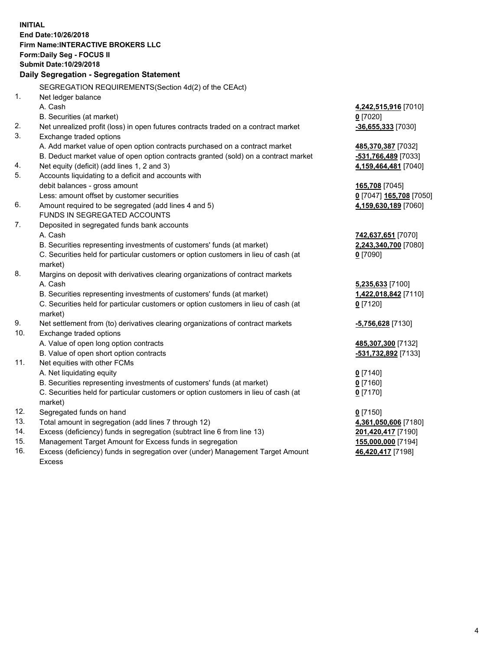**INITIAL End Date:10/26/2018 Firm Name:INTERACTIVE BROKERS LLC Form:Daily Seg - FOCUS II Submit Date:10/29/2018 Daily Segregation - Segregation Statement** SEGREGATION REQUIREMENTS(Section 4d(2) of the CEAct) 1. Net ledger balance A. Cash **4,242,515,916** [7010] B. Securities (at market) **0** [7020] 2. Net unrealized profit (loss) in open futures contracts traded on a contract market **-36,655,333** [7030] 3. Exchange traded options A. Add market value of open option contracts purchased on a contract market **485,370,387** [7032] B. Deduct market value of open option contracts granted (sold) on a contract market **-531,766,489** [7033] 4. Net equity (deficit) (add lines 1, 2 and 3) **4,159,464,481** [7040] 5. Accounts liquidating to a deficit and accounts with debit balances - gross amount **165,708** [7045] Less: amount offset by customer securities **0** [7047] **165,708** [7050] 6. Amount required to be segregated (add lines 4 and 5) **4,159,630,189** [7060] FUNDS IN SEGREGATED ACCOUNTS 7. Deposited in segregated funds bank accounts A. Cash **742,637,651** [7070] B. Securities representing investments of customers' funds (at market) **2,243,340,700** [7080] C. Securities held for particular customers or option customers in lieu of cash (at market) **0** [7090] 8. Margins on deposit with derivatives clearing organizations of contract markets A. Cash **5,235,633** [7100] B. Securities representing investments of customers' funds (at market) **1,422,018,842** [7110] C. Securities held for particular customers or option customers in lieu of cash (at market) **0** [7120] 9. Net settlement from (to) derivatives clearing organizations of contract markets **-5,756,628** [7130] 10. Exchange traded options A. Value of open long option contracts **485,307,300** [7132] B. Value of open short option contracts **-531,732,892** [7133] 11. Net equities with other FCMs A. Net liquidating equity **0** [7140] B. Securities representing investments of customers' funds (at market) **0** [7160] C. Securities held for particular customers or option customers in lieu of cash (at market) **0** [7170] 12. Segregated funds on hand **0** [7150] 13. Total amount in segregation (add lines 7 through 12) **4,361,050,606** [7180] 14. Excess (deficiency) funds in segregation (subtract line 6 from line 13) **201,420,417** [7190] 15. Management Target Amount for Excess funds in segregation **155,000,000** [7194]

16. Excess (deficiency) funds in segregation over (under) Management Target Amount Excess

**46,420,417** [7198]